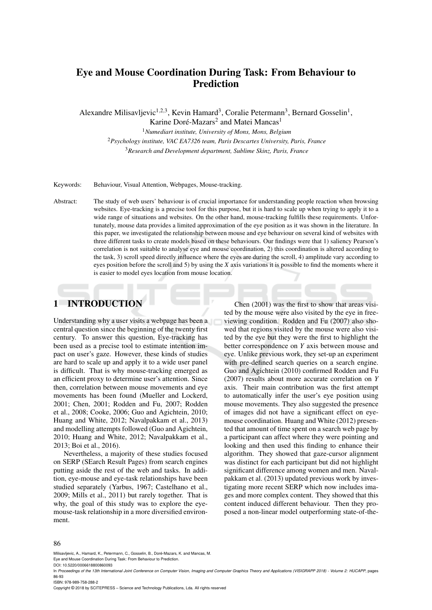# Eye and Mouse Coordination During Task: From Behaviour to Prediction

Alexandre Milisavljevic<sup>1,2,3</sup>, Kevin Hamard<sup>3</sup>, Coralie Petermann<sup>3</sup>, Bernard Gosselin<sup>1</sup>,

Karine Doré-Mazars<sup>2</sup> and Matei Mancas<sup>1</sup>

<sup>1</sup>*Numediart institute, University of Mons, Mons, Belgium* <sup>2</sup>*Psychology institute, VAC EA7326 team, Paris Descartes University, Paris, France* <sup>3</sup>*Research and Development department, Sublime Skinz, Paris, France*

Keywords: Behaviour, Visual Attention, Webpages, Mouse-tracking.

Abstract: The study of web users' behaviour is of crucial importance for understanding people reaction when browsing websites. Eye-tracking is a precise tool for this purpose, but it is hard to scale up when trying to apply it to a wide range of situations and websites. On the other hand, mouse-tracking fulfills these requirements. Unfortunately, mouse data provides a limited approximation of the eye position as it was shown in the literature. In this paper, we investigated the relationship between mouse and eye behaviour on several kind of websites with three different tasks to create models based on these behaviours. Our findings were that 1) saliency Pearson's correlation is not suitable to analyse eye and mouse coordination, 2) this coordination is altered according to the task, 3) scroll speed directly influence where the eyes are during the scroll, 4) amplitude vary according to eyes position before the scroll and 5) by using the *X* axis variations it is possible to find the moments where it is easier to model eyes location from mouse location.

# 1 INTRODUCTION

Understanding why a user visits a webpage has been a central question since the beginning of the twenty first century. To answer this question, Eye-tracking has been used as a precise tool to estimate intention impact on user's gaze. However, these kinds of studies are hard to scale up and apply it to a wide user panel is difficult. That is why mouse-tracking emerged as an efficient proxy to determine user's attention. Since then, correlation between mouse movements and eye movements has been found (Mueller and Lockerd, 2001; Chen, 2001; Rodden and Fu, 2007; Rodden et al., 2008; Cooke, 2006; Guo and Agichtein, 2010; Huang and White, 2012; Navalpakkam et al., 2013) and modelling attempts followed (Guo and Agichtein, 2010; Huang and White, 2012; Navalpakkam et al., 2013; Boi et al., 2016).

Nevertheless, a majority of these studies focused on SERP (SEarch Result Pages) from search engines putting aside the rest of the web and tasks. In addition, eye-mouse and eye-task relationships have been studied separately (Yarbus, 1967; Castelhano et al., 2009; Mills et al., 2011) but rarely together. That is why, the goal of this study was to explore the eyemouse-task relationship in a more diversified environment.

Chen (2001) was the first to show that areas visited by the mouse were also visited by the eye in freeviewing condition. Rodden and Fu (2007) also showed that regions visited by the mouse were also visited by the eye but they were the first to highlight the better correspondence on *Y* axis between mouse and eye. Unlike previous work, they set-up an experiment with pre-defined search queries on a search engine. Guo and Agichtein (2010) confirmed Rodden and Fu (2007) results about more accurate correlation on *Y* axis. Their main contribution was the first attempt to automatically infer the user's eye position using mouse movements. They also suggested the presence of images did not have a significant effect on eyemouse coordination. Huang and White (2012) presented that amount of time spent on a search web page by a participant can affect where they were pointing and looking and then used this finding to enhance their algorithm. They showed that gaze-cursor alignment was distinct for each participant but did not highlight significant difference among women and men. Navalpakkam et al. (2013) updated previous work by investigating more recent SERP which now includes images and more complex content. They showed that this content induced different behaviour. Then they proposed a non-linear model outperforming state-of-the-

#### 86

Milisavljevic, A., Hamard, K., Petermann, C., Gosselin, B., Doré-Mazars, K. and Mancas, M. Eye and Mouse Coordination During Task: From Behaviour to Prediction.

DOI: 10.5220/0006618800860093

ISBN: 978-989-758-288-2

Copyright © 2018 by SCITEPRESS – Science and Technology Publications, Lda. All rights reserved

In *Proceedings of the 13th International Joint Conference on Computer Vision, Imaging and Computer Graphics Theory and Applications (VISIGRAPP 2018) - Volume 2: HUCAPP*, pages 86-93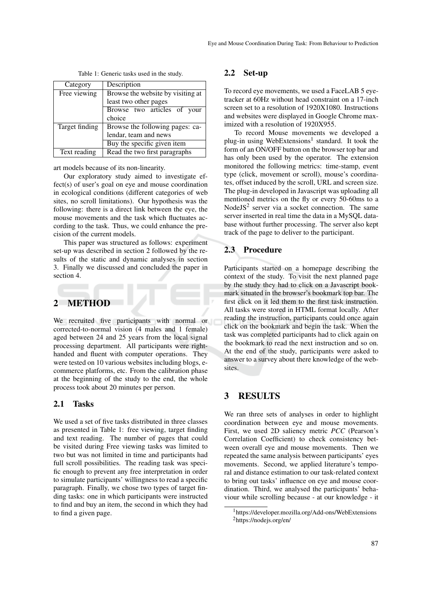| Category       | Description                       |  |  |
|----------------|-----------------------------------|--|--|
| Free viewing   | Browse the website by visiting at |  |  |
|                | least two other pages             |  |  |
|                | Browse two articles of your       |  |  |
|                | choice                            |  |  |
| Target finding | Browse the following pages: ca-   |  |  |
|                | lendar, team and news             |  |  |
|                | Buy the specific given item       |  |  |
| Text reading   | Read the two first paragraphs     |  |  |

Table 1: Generic tasks used in the study.

art models because of its non-linearity.

Our exploratory study aimed to investigate effect(s) of user's goal on eye and mouse coordination in ecological conditions (different categories of web sites, no scroll limitations). Our hypothesis was the following: there is a direct link between the eye, the mouse movements and the task which fluctuates according to the task. Thus, we could enhance the precision of the current models.

This paper was structured as follows: experiment set-up was described in section 2 followed by the results of the static and dynamic analyses in section 3. Finally we discussed and concluded the paper in section 4.

# 2 METHOD

We recruited five participants with normal or corrected-to-normal vision (4 males and 1 female) aged between 24 and 25 years from the local signal processing department. All participants were righthanded and fluent with computer operations. They were tested on 10 various websites including blogs, ecommerce platforms, etc. From the calibration phase at the beginning of the study to the end, the whole process took about 20 minutes per person.

#### 2.1 Tasks

We used a set of five tasks distributed in three classes as presented in Table 1: free viewing, target finding and text reading. The number of pages that could be visited during Free viewing tasks was limited to two but was not limited in time and participants had full scroll possibilities. The reading task was specific enough to prevent any free interpretation in order to simulate participants' willingness to read a specific paragraph. Finally, we chose two types of target finding tasks: one in which participants were instructed to find and buy an item, the second in which they had to find a given page.

#### 2.2 Set-up

To record eye movements, we used a FaceLAB 5 eyetracker at 60Hz without head constraint on a 17-inch screen set to a resolution of 1920X1080. Instructions and websites were displayed in Google Chrome maximized with a resolution of 1920X955.

To record Mouse movements we developed a plug-in using WebExtensions<sup>1</sup> standard. It took the form of an ON/OFF button on the browser top bar and has only been used by the operator. The extension monitored the following metrics: time-stamp, event type (click, movement or scroll), mouse's coordinates, offset induced by the scroll, URL and screen size. The plug-in developed in Javascript was uploading all mentioned metrics on the fly or every 50-60ms to a NodeJS<sup>2</sup> server via a socket connection. The same server inserted in real time the data in a MySQL database without further processing. The server also kept track of the page to deliver to the participant.

## 2.3 Procedure

Participants started on a homepage describing the context of the study. To visit the next planned page by the study they had to click on a Javascript bookmark situated in the browser's bookmark top bar. The first click on it led them to the first task instruction. All tasks were stored in HTML format locally. After reading the instruction, participants could once again click on the bookmark and begin the task. When the task was completed participants had to click again on the bookmark to read the next instruction and so on. At the end of the study, participants were asked to answer to a survey about there knowledge of the websites.

## 3 RESULTS

We ran three sets of analyses in order to highlight coordination between eye and mouse movements. First, we used 2D saliency metric *PCC* (Pearson's Correlation Coefficient) to check consistency between overall eye and mouse movements. Then we repeated the same analysis between participants' eyes movements. Second, we applied literature's temporal and distance estimation to our task-related context to bring out tasks' influence on eye and mouse coordination. Third, we analysed the participants' behaviour while scrolling because - at our knowledge - it

<sup>&</sup>lt;sup>1</sup>https://developer.mozilla.org/Add-ons/WebExtensions <sup>2</sup>https://nodejs.org/en/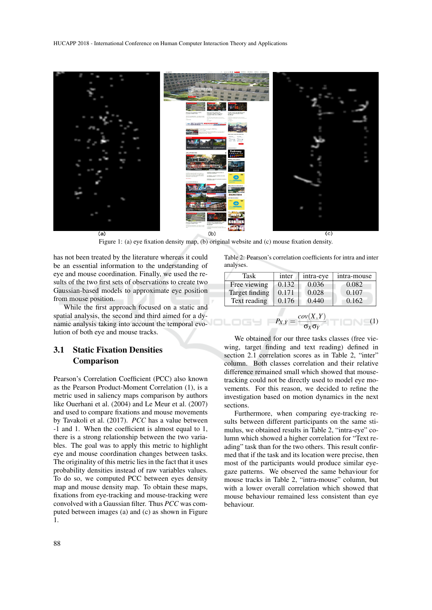

Figure 1: (a) eye fixation density map, (b) original website and (c) mouse fixation density.

has not been treated by the literature whereas it could be an essential information to the understanding of eye and mouse coordination. Finally, we used the results of the two first sets of observations to create two Gaussian-based models to approximate eye position from mouse position.

While the first approach focused on a static and spatial analysis, the second and third aimed for a dynamic analysis taking into account the temporal evolution of both eye and mouse tracks.

### 3.1 Static Fixation Densities Comparison

Pearson's Correlation Coefficient (PCC) also known as the Pearson Product-Moment Correlation (1), is a metric used in saliency maps comparison by authors like Ouerhani et al. (2004) and Le Meur et al. (2007) and used to compare fixations and mouse movements by Tavakoli et al. (2017). *PCC* has a value between -1 and 1. When the coefficient is almost equal to 1, there is a strong relationship between the two variables. The goal was to apply this metric to highlight eye and mouse coordination changes between tasks. The originality of this metric lies in the fact that it uses probability densities instead of raw variables values. To do so, we computed PCC between eyes density map and mouse density map. To obtain these maps, fixations from eye-tracking and mouse-tracking were convolved with a Gaussian filter. Thus *PCC* was computed between images (a) and (c) as shown in Figure 1.

Table 2: Pearson's correlation coefficients for intra and inter analyses.

| <b>Task</b>                                                                   | inter | intra-eye | intra-mouse |  |  |
|-------------------------------------------------------------------------------|-------|-----------|-------------|--|--|
| Free viewing                                                                  | 0.132 | 0.036     | 0.082       |  |  |
| <b>Target finding</b>                                                         | 0.171 | 0.028     | 0.107       |  |  |
| Text reading                                                                  | 0.176 | 0.440     | 0.162       |  |  |
| $P_{X,Y} = \frac{cov(X,Y)}{Var(X,Y)}$<br>(1)<br>$\frac{1}{\sigma_X \sigma_Y}$ |       |           |             |  |  |

We obtained for our three tasks classes (free viewing, target finding and text reading) defined in section 2.1 correlation scores as in Table 2, "inter" column. Both classes correlation and their relative difference remained small which showed that mousetracking could not be directly used to model eye movements. For this reason, we decided to refine the investigation based on motion dynamics in the next sections.

Furthermore, when comparing eye-tracking results between different participants on the same stimulus, we obtained results in Table 2, "intra-eye" column which showed a higher correlation for "Text reading" task than for the two others. This result confirmed that if the task and its location were precise, then most of the participants would produce similar eyegaze patterns. We observed the same behaviour for mouse tracks in Table 2, "intra-mouse" column, but with a lower overall correlation which showed that mouse behaviour remained less consistent than eye behaviour.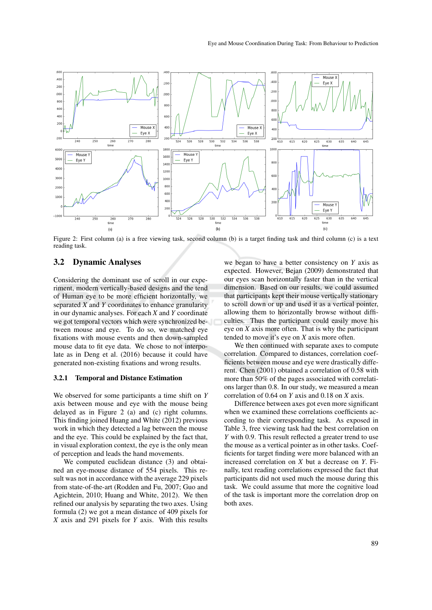

Figure 2: First column (a) is a free viewing task, second column (b) is a target finding task and third column (c) is a text reading task.

#### 3.2 Dynamic Analyses

Considering the dominant use of scroll in our experiment, modern vertically-based designs and the tend of Human eye to be more efficient horizontally, we separated *X* and *Y* coordinates to enhance granularity in our dynamic analyses. For each *X* and *Y* coordinate we got temporal vectors which were synchronized between mouse and eye. To do so, we matched eye fixations with mouse events and then down-sampled mouse data to fit eye data. We chose to not interpolate as in Deng et al. (2016) because it could have generated non-existing fixations and wrong results.

#### 3.2.1 Temporal and Distance Estimation

We observed for some participants a time shift on *Y* axis between mouse and eye with the mouse being delayed as in Figure 2 (a) and (c) right columns. This finding joined Huang and White (2012) previous work in which they detected a lag between the mouse and the eye. This could be explained by the fact that, in visual exploration context, the eye is the only mean of perception and leads the hand movements.

We computed euclidean distance (3) and obtained an eye-mouse distance of 554 pixels. This result was not in accordance with the average 229 pixels from state-of-the-art (Rodden and Fu, 2007; Guo and Agichtein, 2010; Huang and White, 2012). We then refined our analysis by separating the two axes. Using formula (2) we got a mean distance of 409 pixels for *X* axis and 291 pixels for *Y* axis. With this results

we began to have a better consistency on *Y* axis as expected. However, Bejan (2009) demonstrated that our eyes scan horizontally faster than in the vertical dimension. Based on our results, we could assumed that participants kept their mouse vertically stationary to scroll down or up and used it as a vertical pointer, allowing them to horizontally browse without difficulties. Thus the participant could easily move his eye on *X* axis more often. That is why the participant tended to move it's eye on *X* axis more often.

We then continued with separate axes to compute correlation. Compared to distances, correlation coefficients between mouse and eye were drastically different. Chen (2001) obtained a correlation of 0.58 with more than 50% of the pages associated with correlations larger than 0.8. In our study, we measured a mean correlation of 0.64 on *Y* axis and 0.18 on *X* axis.

Difference between axes got even more significant when we examined these correlations coefficients according to their corresponding task. As exposed in Table 3, free viewing task had the best correlation on *Y* with 0.9. This result reflected a greater trend to use the mouse as a vertical pointer as in other tasks. Coefficients for target finding were more balanced with an increased correlation on *X* but a decrease on *Y*. Finally, text reading correlations expressed the fact that participants did not used much the mouse during this task. We could assume that more the cognitive load of the task is important more the correlation drop on both axes.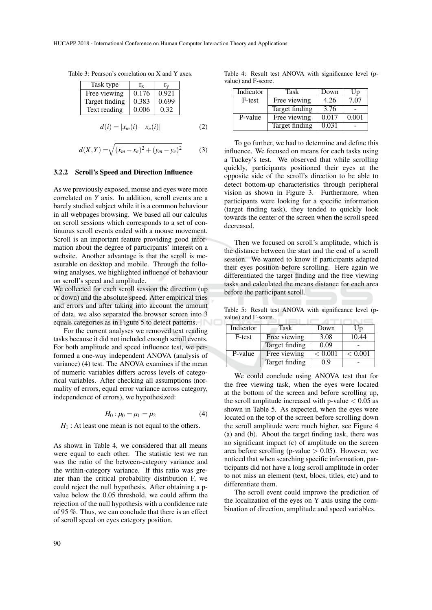Table 3: Pearson's correlation on X and Y axes.

| Task type      | $r_{\rm x}$ | Γv    |
|----------------|-------------|-------|
| Free viewing   | 0.176       | 0.921 |
| Target finding | 0.383       | 0.699 |
| Text reading   | 0.006       | 0.32  |

$$
d(i) = |x_m(i) - x_e(i)|
$$
 (2)

$$
d(X,Y) = \sqrt{(x_m - x_e)^2 + (y_m - y_e)^2}
$$
 (3)

#### 3.2.2 Scroll's Speed and Direction Influence

As we previously exposed, mouse and eyes were more correlated on *Y* axis. In addition, scroll events are a barely studied subject while it is a common behaviour in all webpages browsing. We based all our calculus on scroll sessions which corresponds to a set of continuous scroll events ended with a mouse movement. Scroll is an important feature providing good information about the degree of participants' interest on a website. Another advantage is that the scroll is measurable on desktop and mobile. Through the following analyses, we highlighted influence of behaviour on scroll's speed and amplitude.

We collected for each scroll session the direction (up or down) and the absolute speed. After empirical tries and errors and after taking into account the amount of data, we also separated the browser screen into 3 equals categories as in Figure 5 to detect patterns.

For the current analyses we removed text reading tasks because it did not included enough scroll events. For both amplitude and speed influence test, we performed a one-way independent ANOVA (analysis of variance) (4) test. The ANOVA examines if the mean of numeric variables differs across levels of categorical variables. After checking all assumptions (normality of errors, equal error variance across category, independence of errors), we hypothesized:

$$
H_0: \mu_0 = \mu_1 = \mu_2 \tag{4}
$$

 $H_1$ : At least one mean is not equal to the others.

As shown in Table 4, we considered that all means were equal to each other. The statistic test we ran was the ratio of the between-category variance and the within-category variance. If this ratio was greater than the critical probability distribution F, we could reject the null hypothesis. After obtaining a pvalue below the 0.05 threshold, we could affirm the rejection of the null hypothesis with a confidence rate of 95 %. Thus, we can conclude that there is an effect of scroll speed on eyes category position.

Table 4: Result test ANOVA with significance level (pvalue) and F-score.

| Indicator | Task           | Down  | Up    |
|-----------|----------------|-------|-------|
| F-test    | Free viewing   | 4.26  | 7.07  |
|           | Target finding | 3.76  |       |
| P-value   | Free viewing   | 0.017 | 0.001 |
|           | Target finding | 0.031 |       |

To go further, we had to determine and define this influence. We focused on means for each tasks using a Tuckey's test. We observed that while scrolling quickly, participants positioned their eyes at the opposite side of the scroll's direction to be able to detect bottom-up characteristics through peripheral vision as shown in Figure 3. Furthermore, when participants were looking for a specific information (target finding task), they tended to quickly look towards the center of the screen when the scroll speed decreased.

Then we focused on scroll's amplitude, which is the distance between the start and the end of a scroll session. We wanted to know if participants adapted their eyes position before scrolling. Here again we differentiated the target finding and the free viewing tasks and calculated the means distance for each area before the participant scroll.

Table 5: Result test ANOVA with significance level (pvalue) and F-score.

| Indicator | Task           | Down    | Up      |
|-----------|----------------|---------|---------|
| F-test    | Free viewing   | 3.08    | 10.44   |
|           | Target finding | 0.09    |         |
| P-value   | Free viewing   | < 0.001 | < 0.001 |
|           | Target finding | 0.9     |         |

We could conclude using ANOVA test that for the free viewing task, when the eyes were located at the bottom of the screen and before scrolling up, the scroll amplitude increased with p-value  $< 0.05$  as shown in Table 5. As expected, when the eyes were located on the top of the screen before scrolling down the scroll amplitude were much higher, see Figure 4 (a) and (b). About the target finding task, there was no significant impact (c) of amplitude on the screen area before scrolling (p-value  $> 0.05$ ). However, we noticed that when searching specific information, participants did not have a long scroll amplitude in order to not miss an element (text, blocs, titles, etc) and to differentiate them.

The scroll event could improve the prediction of the localization of the eyes on Y axis using the combination of direction, amplitude and speed variables.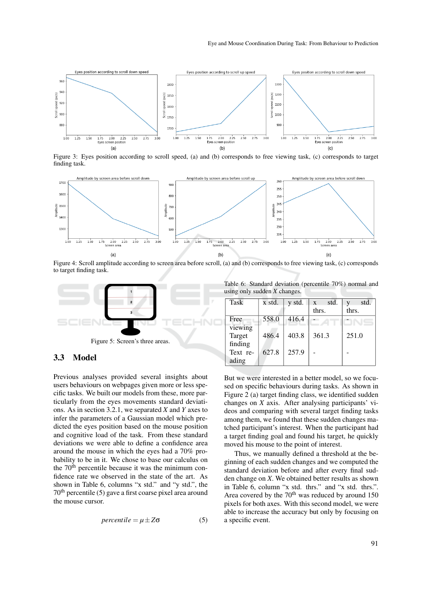

Figure 3: Eyes position according to scroll speed, (a) and (b) corresponds to free viewing task, (c) corresponds to target finding task.



Figure 4: Scroll amplitude according to screen area before scroll, (a) and (b) corresponds to free viewing task, (c) corresponds to target finding task.



#### 3.3 Model

Previous analyses provided several insights about users behaviours on webpages given more or less specific tasks. We built our models from these, more particularly from the eyes movements standard deviations. As in section 3.2.1, we separated *X* and *Y* axes to infer the parameters of a Gaussian model which predicted the eyes position based on the mouse position and cognitive load of the task. From these standard deviations we were able to define a confidence area around the mouse in which the eyes had a 70% probability to be in it. We chose to base our calculus on the 70<sup>th</sup> percentile because it was the minimum confidence rate we observed in the state of the art. As shown in Table 6, columns "x std." and "y std.", the  $70<sup>th</sup>$  percentile (5) gave a first coarse pixel area around the mouse cursor.

$$
percentile = \mu \pm Z\sigma \tag{5}
$$

Table 6: Standard deviation (percentile 70%) normal and using only sudden *X* changes.

| <b>Task</b> | x std. | y std. | std.<br>X | std.  |
|-------------|--------|--------|-----------|-------|
|             |        |        | thrs.     | thrs. |
| Free        | 558.0  | 416.4  |           |       |
| viewing     |        |        |           |       |
| Target      | 486.4  | 403.8  | 361.3     | 251.0 |
| finding     |        |        |           |       |
| Text re-    | 627.8  | 257.9  |           |       |
| ading       |        |        |           |       |

But we were interested in a better model, so we focused on specific behaviours during tasks. As shown in Figure 2 (a) target finding class, we identified sudden changes on *X* axis. After analysing participants' videos and comparing with several target finding tasks among them, we found that these sudden changes matched participant's interest. When the participant had a target finding goal and found his target, he quickly moved his mouse to the point of interest.

Thus, we manually defined a threshold at the beginning of each sudden changes and we computed the standard deviation before and after every final sudden change on *X*. We obtained better results as shown in Table 6, column "x std. thrs." and "x std. thrs.". Area covered by the  $70<sup>th</sup>$  was reduced by around 150 pixels for both axes. With this second model, we were able to increase the accuracy but only by focusing on a specific event.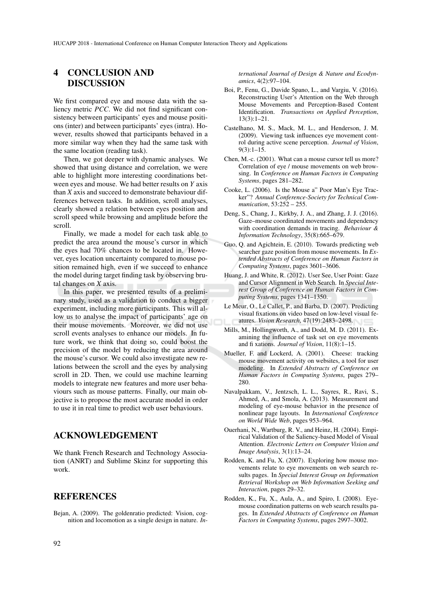## 4 CONCLUSION AND DISCUSSION

We first compared eye and mouse data with the saliency metric *PCC*. We did not find significant consistency between participants' eyes and mouse positions (inter) and between participants' eyes (intra). However, results showed that participants behaved in a more similar way when they had the same task with the same location (reading task).

Then, we got deeper with dynamic analyses. We showed that using distance and correlation, we were able to highlight more interesting coordinations between eyes and mouse. We had better results on *Y* axis than *X* axis and succeed to demonstrate behaviour differences between tasks. In addition, scroll analyses, clearly showed a relation between eyes position and scroll speed while browsing and amplitude before the scroll.

Finally, we made a model for each task able to predict the area around the mouse's cursor in which the eyes had 70% chances to be located in. However, eyes location uncertainty compared to mouse position remained high, even if we succeed to enhance the model during target finding task by observing brutal changes on *X* axis.

In this paper, we presented results of a preliminary study, used as a validation to conduct a bigger experiment, including more participants. This will allow us to analyse the impact of participants' age on their mouse movements. Moreover, we did not use scroll events analyses to enhance our models. In future work, we think that doing so, could boost the precision of the model by reducing the area around the mouse's cursor. We could also investigate new relations between the scroll and the eyes by analysing scroll in 2D. Then, we could use machine learning models to integrate new features and more user behaviours such as mouse patterns. Finally, our main objective is to propose the most accurate model in order to use it in real time to predict web user behaviours.

### ACKNOWLEDGEMENT

We thank French Research and Technology Association (ANRT) and Sublime Skinz for supporting this work.

### **REFERENCES**

Bejan, A. (2009). The goldenratio predicted: Vision, cognition and locomotion as a single design in nature. *In-* *ternational Journal of Design & Nature and Ecodynamics*, 4(2):97–104.

- Boi, P., Fenu, G., Davide Spano, L., and Vargiu, V. (2016). Reconstructing User's Attention on the Web through Mouse Movements and Perception-Based Content Identification. *Transactions on Applied Perception*, 13(3):1–21.
- Castelhano, M. S., Mack, M. L., and Henderson, J. M. (2009). Viewing task influences eye movement control during active scene perception. *Journal of Vision*, 9(3):1–15.
- Chen, M.-c. (2001). What can a mouse cursor tell us more? Correlation of eye / mouse movements on web browsing. In *Conference on Human Factors in Computing Systems*, pages 281–282.
- Cooke, L. (2006). Is the Mouse a" Poor Man's Eye Tracker"? *Annual Conference-Society for Technical Communication*, 53:252 – 255.
- Deng, S., Chang, J., Kirkby, J. A., and Zhang, J. J. (2016). Gaze–mouse coordinated movements and dependency with coordination demands in tracing. *Behaviour & Information Technology*, 35(8):665–679.
- Guo, Q. and Agichtein, E. (2010). Towards predicting web searcher gaze position from mouse movements. In *Extended Abstracts of Conference on Human Factors in Computing Systems*, pages 3601–3606.
- Huang, J. and White, R. (2012). User See, User Point: Gaze and Cursor Alignment in Web Search. In *Special Interest Group of Conference on Human Factors in Computing Systems*, pages 1341–1350.
- Le Meur, O., Le Callet, P., and Barba, D. (2007). Predicting visual fixations on video based on low-level visual features. *Vision Research*, 47(19):2483–2498.
- Mills, M., Hollingworth, A., and Dodd, M. D. (2011). Examining the influence of task set on eye movements and fi xations. *Journal of Vision*, 11(8):1–15.
- Mueller, F. and Lockerd, A. (2001). Cheese: tracking mouse movement activity on websites, a tool for user modeling. In *Extended Abstracts of Conference on Human Factors in Computing Systems*, pages 279– 280.
- Navalpakkam, V., Jentzsch, L. L., Sayres, R., Ravi, S., Ahmed, A., and Smola, A. (2013). Measurement and modeling of eye-mouse behavior in the presence of nonlinear page layouts. In *International Conference on World Wide Web*, pages 953–964.
- Ouerhani, N., Wartburg, R. V., and Heinz, H. (2004). Empirical Validation of the Saliency-based Model of Visual Attention. *Electronic Letters on Computer Vision and Image Analysis*, 3(1):13–24.
- Rodden, K. and Fu, X. (2007). Exploring how mouse movements relate to eye movements on web search results pages. In *Special Interest Group on Information Retrieval Workshop on Web Information Seeking and Interaction*, pages 29–32.
- Rodden, K., Fu, X., Aula, A., and Spiro, I. (2008). Eyemouse coordination patterns on web search results pages. In *Extended Abstracts of Conference on Human Factors in Computing Systems*, pages 2997–3002.